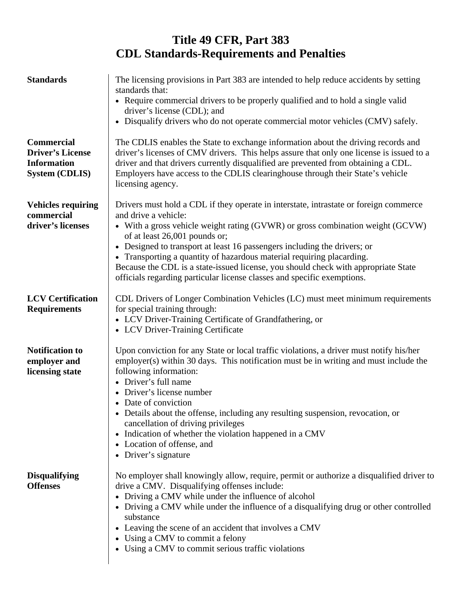## **Title 49 CFR, Part 383 CDL Standards-Requirements and Penalties**

| <b>Standards</b>                                                                            | The licensing provisions in Part 383 are intended to help reduce accidents by setting<br>standards that:<br>• Require commercial drivers to be properly qualified and to hold a single valid<br>driver's license (CDL); and<br>• Disqualify drivers who do not operate commercial motor vehicles (CMV) safely.                                                                                                                                                                                                                                         |
|---------------------------------------------------------------------------------------------|--------------------------------------------------------------------------------------------------------------------------------------------------------------------------------------------------------------------------------------------------------------------------------------------------------------------------------------------------------------------------------------------------------------------------------------------------------------------------------------------------------------------------------------------------------|
| <b>Commercial</b><br><b>Driver's License</b><br><b>Information</b><br><b>System (CDLIS)</b> | The CDLIS enables the State to exchange information about the driving records and<br>driver's licenses of CMV drivers. This helps assure that only one license is issued to a<br>driver and that drivers currently disqualified are prevented from obtaining a CDL.<br>Employers have access to the CDLIS clearinghouse through their State's vehicle<br>licensing agency.                                                                                                                                                                             |
| <b>Vehicles requiring</b><br>commercial<br>driver's licenses                                | Drivers must hold a CDL if they operate in interstate, intrastate or foreign commerce<br>and drive a vehicle:<br>• With a gross vehicle weight rating (GVWR) or gross combination weight (GCVW)<br>of at least 26,001 pounds or;<br>• Designed to transport at least 16 passengers including the drivers; or<br>• Transporting a quantity of hazardous material requiring placarding.<br>Because the CDL is a state-issued license, you should check with appropriate State<br>officials regarding particular license classes and specific exemptions. |
| <b>LCV Certification</b><br><b>Requirements</b>                                             | CDL Drivers of Longer Combination Vehicles (LC) must meet minimum requirements<br>for special training through:<br>• LCV Driver-Training Certificate of Grandfathering, or<br>• LCV Driver-Training Certificate                                                                                                                                                                                                                                                                                                                                        |
| <b>Notification to</b><br>employer and<br>licensing state                                   | Upon conviction for any State or local traffic violations, a driver must notify his/her<br>employer(s) within 30 days. This notification must be in writing and must include the<br>following information:<br>• Driver's full name<br>Driver's license number<br>• Date of conviction<br>• Details about the offense, including any resulting suspension, revocation, or<br>cancellation of driving privileges<br>Indication of whether the violation happened in a CMV<br>Location of offense, and<br>• Driver's signature                            |
| <b>Disqualifying</b><br><b>Offenses</b>                                                     | No employer shall knowingly allow, require, permit or authorize a disqualified driver to<br>drive a CMV. Disqualifying offenses include:<br>• Driving a CMV while under the influence of alcohol<br>Driving a CMV while under the influence of a disqualifying drug or other controlled<br>substance<br>• Leaving the scene of an accident that involves a CMV<br>• Using a CMV to commit a felony<br>• Using a CMV to commit serious traffic violations                                                                                               |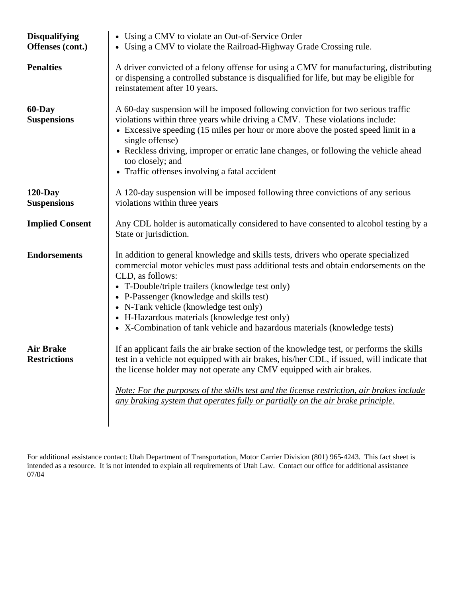| <b>Disqualifying</b><br>Offenses (cont.) | • Using a CMV to violate an Out-of-Service Order<br>• Using a CMV to violate the Railroad-Highway Grade Crossing rule.                                                                                                                                                                                                                                                                                                                                                 |
|------------------------------------------|------------------------------------------------------------------------------------------------------------------------------------------------------------------------------------------------------------------------------------------------------------------------------------------------------------------------------------------------------------------------------------------------------------------------------------------------------------------------|
| <b>Penalties</b>                         | A driver convicted of a felony offense for using a CMV for manufacturing, distributing<br>or dispensing a controlled substance is disqualified for life, but may be eligible for<br>reinstatement after 10 years.                                                                                                                                                                                                                                                      |
| 60-Day<br><b>Suspensions</b>             | A 60-day suspension will be imposed following conviction for two serious traffic<br>violations within three years while driving a CMV. These violations include:<br>• Excessive speeding (15 miles per hour or more above the posted speed limit in a<br>single offense)<br>• Reckless driving, improper or erratic lane changes, or following the vehicle ahead<br>too closely; and<br>• Traffic offenses involving a fatal accident                                  |
| $120$ -Day<br><b>Suspensions</b>         | A 120-day suspension will be imposed following three convictions of any serious<br>violations within three years                                                                                                                                                                                                                                                                                                                                                       |
| <b>Implied Consent</b>                   | Any CDL holder is automatically considered to have consented to alcohol testing by a<br>State or jurisdiction.                                                                                                                                                                                                                                                                                                                                                         |
| <b>Endorsements</b>                      | In addition to general knowledge and skills tests, drivers who operate specialized<br>commercial motor vehicles must pass additional tests and obtain endorsements on the<br>CLD, as follows:<br>• T-Double/triple trailers (knowledge test only)<br>• P-Passenger (knowledge and skills test)<br>• N-Tank vehicle (knowledge test only)<br>• H-Hazardous materials (knowledge test only)<br>• X-Combination of tank vehicle and hazardous materials (knowledge tests) |
| <b>Air Brake</b><br><b>Restrictions</b>  | If an applicant fails the air brake section of the knowledge test, or performs the skills<br>test in a vehicle not equipped with air brakes, his/her CDL, if issued, will indicate that<br>the license holder may not operate any CMV equipped with air brakes.<br>Note: For the purposes of the skills test and the license restriction, air brakes include<br>any braking system that operates fully or partially on the air brake principle.                        |

For additional assistance contact: Utah Department of Transportation, Motor Carrier Division (801) 965-4243. This fact sheet is intended as a resource. It is not intended to explain all requirements of Utah Law. Contact our office for additional assistance 07/04